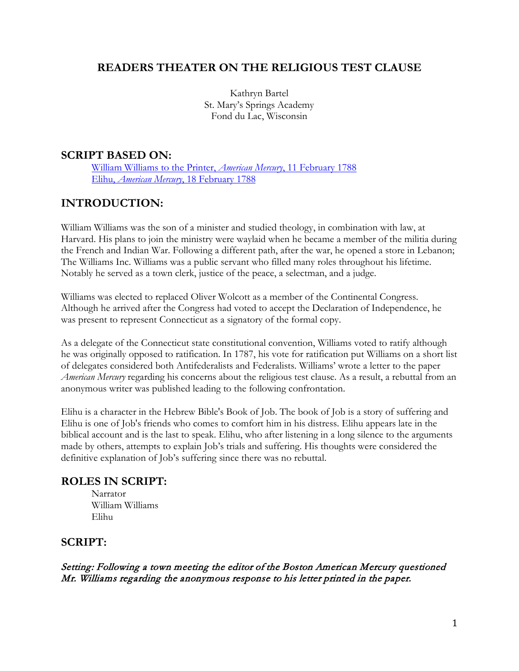# **READERS THEATER ON THE RELIGIOUS TEST CLAUSE**

Kathryn Bartel St. Mary's Springs Academy Fond du Lac, Wisconsin

#### **SCRIPT BASED ON:**

[William Williams to the Printer,](https://uwmadison.box.com/s/h5ft60aldty16nig7sad3nbnb481d89h) *American Mercury*, 11 February 1788 Elihu, *American Mercury*[, 18 February 1788](https://uwmadison.box.com/s/ouz505igt7k8bbqoehbhgh9jwnaygxl0)

# **INTRODUCTION:**

William Williams was the son of a minister and studied theology, in combination with law, at Harvard. His plans to join the ministry were waylaid when he became a member of the militia during the [French and Indian War.](https://en.wikipedia.org/wiki/French_and_Indian_War) Following a different path, after the war, he opened a store in Lebanon; The Williams Inc. Williams was a public servant who filled many roles throughout his lifetime. Notably he served as a town clerk, justice of the peace, a selectman, and a judge.

Williams was elected to replaced Oliver Wolcott as a member of the Continental Congress. Although he arrived after the Congress had voted to accept the Declaration of Independence, he was present to represent Connecticut as a signatory of the formal copy.

As a delegate of the Connecticut state constitutional convention, Williams voted to ratify although he was originally opposed to ratification. In 1787, his vote for ratification put Williams on a short list of delegates considered both Antifederalists and Federalists. Williams' wrote a letter to the paper *American Mercury* regarding his concerns about the religious test clause. As a result, a rebuttal from an anonymous writer was published leading to the following confrontation.

Elihu is a character in the Hebrew Bible's Book of Job. The book of Job is a story of suffering and Elihu is one of Job's friends who comes to comfort him in his distress. Elihu appears late in the biblical account and is the last to speak. Elihu, who after listening in a long silence to the arguments made by others, attempts to explain Job's trials and suffering. His thoughts were considered the definitive explanation of Job's suffering since there was no rebuttal.

#### **ROLES IN SCRIPT:**

Narrator William Williams Elihu

### **SCRIPT:**

Setting: Following a town meeting the editor of the Boston American Mercury questioned Mr. Williams regarding the anonymous response to his letter printed in the paper.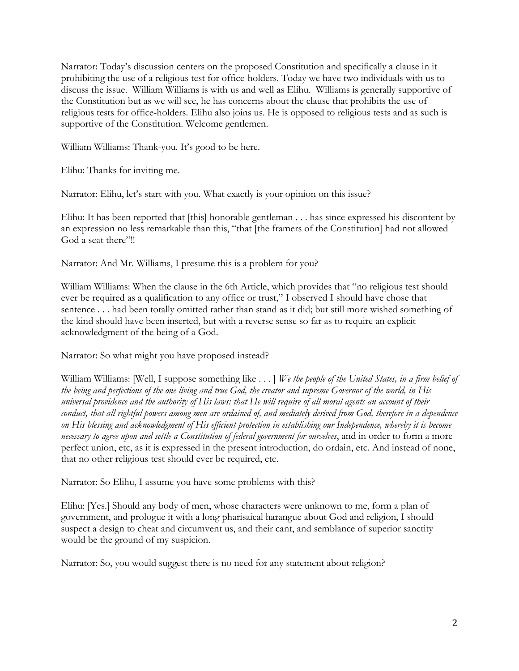Narrator: Today's discussion centers on the proposed Constitution and specifically a clause in it prohibiting the use of a religious test for office-holders. Today we have two individuals with us to discuss the issue. William Williams is with us and well as Elihu. Williams is generally supportive of the Constitution but as we will see, he has concerns about the clause that prohibits the use of religious tests for office-holders. Elihu also joins us. He is opposed to religious tests and as such is supportive of the Constitution. Welcome gentlemen.

William Williams: Thank-you. It's good to be here.

Elihu: Thanks for inviting me.

Narrator: Elihu, let's start with you. What exactly is your opinion on this issue?

Elihu: It has been reported that [this] honorable gentleman . . . has since expressed his discontent by an expression no less remarkable than this, "that [the framers of the Constitution] had not allowed God a seat there"!!

Narrator: And Mr. Williams, I presume this is a problem for you?

William Williams: When the clause in the 6th Article, which provides that "no religious test should ever be required as a qualification to any office or trust," I observed I should have chose that sentence . . . had been totally omitted rather than stand as it did; but still more wished something of the kind should have been inserted, but with a reverse sense so far as to require an explicit acknowledgment of the being of a God.

Narrator: So what might you have proposed instead?

William Williams: [Well, I suppose something like . . . ] *We the people of the United States, in a firm belief of the being and perfections of the one living and true God, the creator and supreme Governor of the world, in His universal providence and the authority of His laws: that He will require of all moral agents an account of their*  conduct, that all rightful powers among men are ordained of, and mediately derived from God, therefore in a dependence *on His blessing and acknowledgment of His efficient protection in establishing our Independence, whereby it is become necessary to agree upon and settle a Constitution of federal government for ourselves*, and in order to form a more perfect union, etc, as it is expressed in the present introduction, do ordain, etc. And instead of none, that no other religious test should ever be required, etc.

Narrator: So Elihu, I assume you have some problems with this?

Elihu: [Yes.] Should any body of men, whose characters were unknown to me, form a plan of government, and prologue it with a long pharisaical harangue about God and religion, I should suspect a design to cheat and circumvent us, and their cant, and semblance of superior sanctity would be the ground of my suspicion.

Narrator: So, you would suggest there is no need for any statement about religion?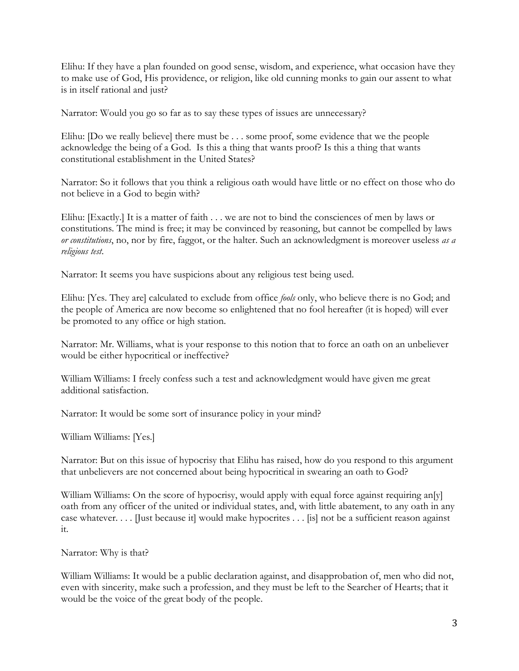Elihu: If they have a plan founded on good sense, wisdom, and experience, what occasion have they to make use of God, His providence, or religion, like old cunning monks to gain our assent to what is in itself rational and just?

Narrator: Would you go so far as to say these types of issues are unnecessary?

Elihu: [Do we really believe] there must be . . . some proof, some evidence that we the people acknowledge the being of a God. Is this a thing that wants proof? Is this a thing that wants constitutional establishment in the United States?

Narrator: So it follows that you think a religious oath would have little or no effect on those who do not believe in a God to begin with?

Elihu: [Exactly.] It is a matter of faith . . . we are not to bind the consciences of men by laws or constitutions. The mind is free; it may be convinced by reasoning, but cannot be compelled by laws *or constitutions*, no, nor by fire, faggot, or the halter. Such an acknowledgment is moreover useless *as a religious test*.

Narrator: It seems you have suspicions about any religious test being used.

Elihu: [Yes. They are] calculated to exclude from office *fools* only, who believe there is no God; and the people of America are now become so enlightened that no fool hereafter (it is hoped) will ever be promoted to any office or high station.

Narrator: Mr. Williams, what is your response to this notion that to force an oath on an unbeliever would be either hypocritical or ineffective?

William Williams: I freely confess such a test and acknowledgment would have given me great additional satisfaction.

Narrator: It would be some sort of insurance policy in your mind?

William Williams: [Yes.]

Narrator: But on this issue of hypocrisy that Elihu has raised, how do you respond to this argument that unbelievers are not concerned about being hypocritical in swearing an oath to God?

William Williams: On the score of hypocrisy, would apply with equal force against requiring an[y] oath from any officer of the united or individual states, and, with little abatement, to any oath in any case whatever. . . . [Just because it] would make hypocrites . . . [is] not be a sufficient reason against it.

Narrator: Why is that?

William Williams: It would be a public declaration against, and disapprobation of, men who did not, even with sincerity, make such a profession, and they must be left to the Searcher of Hearts; that it would be the voice of the great body of the people.